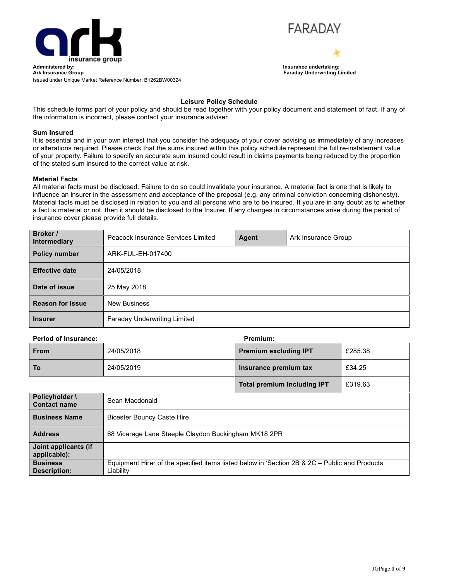



**Total premium including IPT** £319.63

Issued under Unique Market Reference Number: B1262BW00324

# **Leisure Policy Schedule**

This schedule forms part of your policy and should be read together with your policy document and statement of fact. If any of the information is incorrect, please contact your insurance adviser.

## **Sum Insured**

It is essential and in your own interest that you consider the adequacy of your cover advising us immediately of any increases or alterations required. Please check that the sums insured within this policy schedule represent the full re-instatement value of your property. Failure to specify an accurate sum insured could result in claims payments being reduced by the proportion of the stated sum insured to the correct value at risk.

### **Material Facts**

All material facts must be disclosed. Failure to do so could invalidate your insurance. A material fact is one that is likely to influence an insurer in the assessment and acceptance of the proposal (e.g. any criminal conviction concerning dishonesty). Material facts must be disclosed in relation to you and all persons who are to be insured. If you are in any doubt as to whether a fact is material or not, then it should be disclosed to the Insurer. If any changes in circumstances arise during the period of insurance cover please provide full details.

| Broker /<br>Intermediary | Peacock Insurance Services Limited  | Agent | Ark Insurance Group |
|--------------------------|-------------------------------------|-------|---------------------|
| <b>Policy number</b>     | ARK-FUL-EH-017400                   |       |                     |
| <b>Effective date</b>    | 24/05/2018                          |       |                     |
| Date of issue            | 25 May 2018                         |       |                     |
| <b>Reason for issue</b>  | <b>New Business</b>                 |       |                     |
| <b>Insurer</b>           | <b>Faraday Underwriting Limited</b> |       |                     |

### **Period of Insurance: Premium:**

| From | 24/05/2018 | <b>Premium excluding IPT</b> | £285.38 |
|------|------------|------------------------------|---------|
| To   | 24/05/2019 | Insurance premium tax        | £34.25  |

| Policyholder \<br><b>Contact name</b>  | Sean Macdonald                                                                                              |
|----------------------------------------|-------------------------------------------------------------------------------------------------------------|
| <b>Business Name</b>                   | <b>Bicester Bouncy Caste Hire</b>                                                                           |
| <b>Address</b>                         | 68 Vicarage Lane Steeple Claydon Buckingham MK18 2PR                                                        |
| Joint applicants (if<br>applicable):   |                                                                                                             |
| <b>Business</b><br><b>Description:</b> | Equipment Hirer of the specified items listed below in 'Section 2B & 2C – Public and Products<br>Liability' |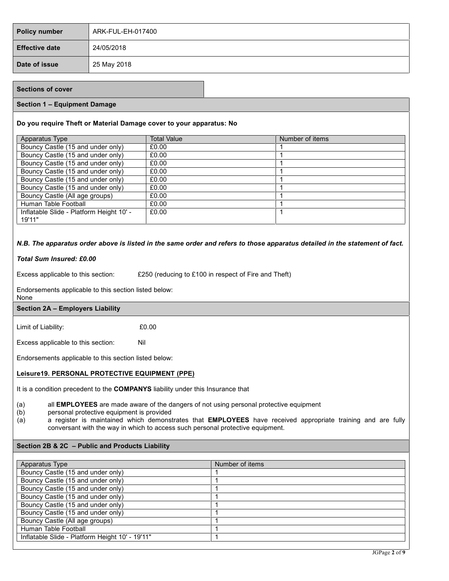| Policy number         | ARK-FUL-EH-017400 |
|-----------------------|-------------------|
| <b>Effective date</b> | 24/05/2018        |
| Date of issue         | 25 May 2018       |

# **Sections of cover**

## **Section 1 – Equipment Damage**

### **Do you require Theft or Material Damage cover to your apparatus: No**

| Apparatus Type                                     | Total Value | Number of items |
|----------------------------------------------------|-------------|-----------------|
| Bouncy Castle (15 and under only)                  | £0.00       |                 |
| Bouncy Castle (15 and under only)                  | £0.00       |                 |
| Bouncy Castle (15 and under only)                  | £0.00       |                 |
| Bouncy Castle (15 and under only)                  | £0.00       |                 |
| Bouncy Castle (15 and under only)                  | £0.00       |                 |
| Bouncy Castle (15 and under only)                  | £0.00       |                 |
| Bouncy Castle (All age groups)                     | £0.00       |                 |
| Human Table Football                               | £0.00       |                 |
| Inflatable Slide - Platform Height 10' -<br>19'11" | £0.00       |                 |

## N.B. The apparatus order above is listed in the same order and refers to those apparatus detailed in the statement of fact.

#### *Total Sum Insured: £0.00*

Excess applicable to this section: E250 (reducing to £100 in respect of Fire and Theft)

Endorsements applicable to this section listed below:

None

### **Section 2A – Employers Liability**

Limit of Liability: £0.00

Excess applicable to this section: Nil

Endorsements applicable to this section listed below:

### **Leisure19. PERSONAL PROTECTIVE EQUIPMENT (PPE)**

It is a condition precedent to the **COMPANYS** liability under this Insurance that

(a) all **EMPLOYEES** are made aware of the dangers of not using personal protective equipment

- (b) personal protective equipment is provided
- (a) a register is maintained which demonstrates that **EMPLOYEES** have received appropriate training and are fully conversant with the way in which to access such personal protective equipment.

### **Section 2B & 2C – Public and Products Liability**

| Apparatus Type                                  | Number of items |
|-------------------------------------------------|-----------------|
| Bouncy Castle (15 and under only)               |                 |
| Bouncy Castle (15 and under only)               |                 |
| Bouncy Castle (15 and under only)               |                 |
| Bouncy Castle (15 and under only)               |                 |
| Bouncy Castle (15 and under only)               |                 |
| Bouncy Castle (15 and under only)               |                 |
| Bouncy Castle (All age groups)                  |                 |
| Human Table Football                            |                 |
| Inflatable Slide - Platform Height 10' - 19'11" |                 |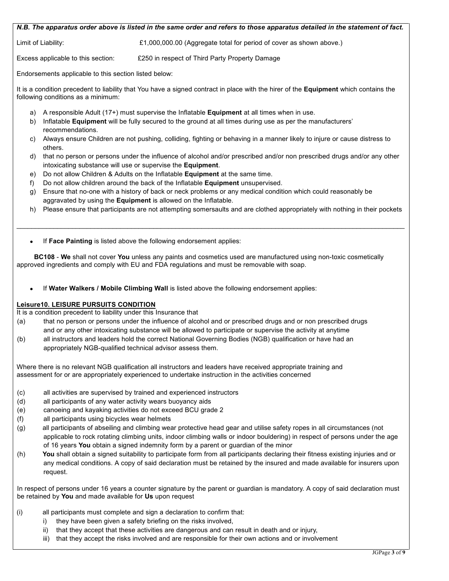|  |  |  | N.B. The apparatus order above is listed in the same order and refers to those apparatus detailed in the statement of fact. |  |  |  |
|--|--|--|-----------------------------------------------------------------------------------------------------------------------------|--|--|--|
|--|--|--|-----------------------------------------------------------------------------------------------------------------------------|--|--|--|

Limit of Liability:  $£1,000,000.00$  (Aggregate total for period of cover as shown above.)

Excess applicable to this section: £250 in respect of Third Party Property Damage

Endorsements applicable to this section listed below:

It is a condition precedent to liability that You have a signed contract in place with the hirer of the **Equipment** which contains the following conditions as a minimum:

- a) A responsible Adult (17+) must supervise the Inflatable **Equipment** at all times when in use.
- b) Inflatable **Equipment** will be fully secured to the ground at all times during use as per the manufacturers' recommendations.
- c) Always ensure Children are not pushing, colliding, fighting or behaving in a manner likely to injure or cause distress to others.
- d) that no person or persons under the influence of alcohol and/or prescribed and/or non prescribed drugs and/or any other intoxicating substance will use or supervise the **Equipment**.
- e) Do not allow Children & Adults on the Inflatable **Equipment** at the same time.
- f) Do not allow children around the back of the Inflatable **Equipment** unsupervised.
- g) Ensure that no-one with a history of back or neck problems or any medical condition which could reasonably be aggravated by using the **Equipment** is allowed on the Inflatable.
- h) Please ensure that participants are not attempting somersaults and are clothed appropriately with nothing in their pockets

 $\_$  , and the set of the set of the set of the set of the set of the set of the set of the set of the set of the set of the set of the set of the set of the set of the set of the set of the set of the set of the set of th

If **Face Painting** is listed above the following endorsement applies:

**BC108** - **We** shall not cover **You** unless any paints and cosmetics used are manufactured using non-toxic cosmetically approved ingredients and comply with EU and FDA regulations and must be removable with soap.

If **Water Walkers / Mobile Climbing Wall** is listed above the following endorsement applies:

# **Leisure10. LEISURE PURSUITS CONDITION**

It is a condition precedent to liability under this Insurance that

- (a) that no person or persons under the influence of alcohol and or prescribed drugs and or non prescribed drugs and or any other intoxicating substance will be allowed to participate or supervise the activity at anytime
- (b) all instructors and leaders hold the correct National Governing Bodies (NGB) qualification or have had an appropriately NGB-qualified technical advisor assess them.

Where there is no relevant NGB qualification all instructors and leaders have received appropriate training and assessment for or are appropriately experienced to undertake instruction in the activities concerned

- (c) all activities are supervised by trained and experienced instructors
- (d) all participants of any water activity wears buoyancy aids
- (e) canoeing and kayaking activities do not exceed BCU grade 2
- (f) all participants using bicycles wear helmets
- (g) all participants of abseiling and climbing wear protective head gear and utilise safety ropes in all circumstances (not applicable to rock rotating climbing units, indoor climbing walls or indoor bouldering) in respect of persons under the age of 16 years **You** obtain a signed indemnity form by a parent or guardian of the minor
- (h) **You** shall obtain a signed suitability to participate form from all participants declaring their fitness existing injuries and or any medical conditions. A copy of said declaration must be retained by the insured and made available for insurers upon request.

In respect of persons under 16 years a counter signature by the parent or guardian is mandatory. A copy of said declaration must be retained by **You** and made available for **Us** upon request

- (i) all participants must complete and sign a declaration to confirm that:
	- i) they have been given a safety briefing on the risks involved,
	- ii) that they accept that these activities are dangerous and can result in death and or injury,
		- iii) that they accept the risks involved and are responsible for their own actions and or involvement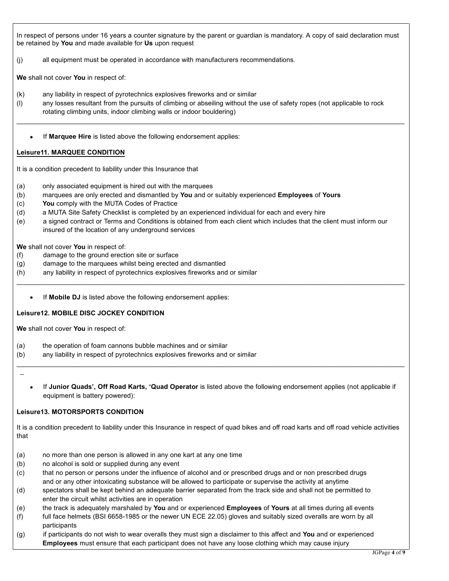In respect of persons under 16 years a counter signature by the parent or guardian is mandatory. A copy of said declaration must be retained by **You** and made available for **Us** upon request

(j) all equipment must be operated in accordance with manufacturers recommendations.

**We** shall not cover **You** in respect of:

- (k) any liability in respect of pyrotechnics explosives fireworks and or similar
- (l) any losses resultant from the pursuits of climbing or abseiling without the use of safety ropes (not applicable to rock rotating climbing units, indoor climbing walls or indoor bouldering)

 $\_$  , and the set of the set of the set of the set of the set of the set of the set of the set of the set of the set of the set of the set of the set of the set of the set of the set of the set of the set of the set of th

If **Marquee Hire** is listed above the following endorsement applies:

## **Leisure11. MARQUEE CONDITION**

It is a condition precedent to liability under this Insurance that

- (a) only associated equipment is hired out with the marquees
- (b) marquees are only erected and dismantled by **You** and or suitably experienced **Employees** of **Yours**
- (c) **You** comply with the MUTA Codes of Practice
- (d) a MUTA Site Safety Checklist is completed by an experienced individual for each and every hire
- (e) a signed contract or Terms and Conditions is obtained from each client which includes that the client must inform our insured of the location of any underground services

 $\_$  , and the set of the set of the set of the set of the set of the set of the set of the set of the set of the set of the set of the set of the set of the set of the set of the set of the set of the set of the set of th

**We** shall not cover **You** in respect of:

- (f) damage to the ground erection site or surface
- (g) damage to the marquees whilst being erected and dismantled
- (h) any liability in respect of pyrotechnics explosives fireworks and or similar
	- If **Mobile DJ** is listed above the following endorsement applies:

# **Leisure12. MOBILE DISC JOCKEY CONDITION**

**We** shall not cover **You** in respect of:

- (a) the operation of foam cannons bubble machines and or similar
- (b) any liability in respect of pyrotechnics explosives fireworks and or similar

 $\overline{\phantom{0}}$ 

 If **Junior Quads', Off Road Karts, 'Quad Operator** is listed above the following endorsement applies (not applicable if equipment is battery powered):

 $\_$  , and the set of the set of the set of the set of the set of the set of the set of the set of the set of the set of the set of the set of the set of the set of the set of the set of the set of the set of the set of th

# **Leisure13. MOTORSPORTS CONDITION**

It is a condition precedent to liability under this Insurance in respect of quad bikes and off road karts and off road vehicle activities that

- (a) no more than one person is allowed in any one kart at any one time
- (b) no alcohol is sold or supplied during any event
- (c) that no person or persons under the influence of alcohol and or prescribed drugs and or non prescribed drugs and or any other intoxicating substance will be allowed to participate or supervise the activity at anytime
- (d) spectators shall be kept behind an adequate barrier separated from the track side and shall not be permitted to enter the circuit whilst activities are in operation
- (e) the track is adequately marshaled by **You** and or experienced **Employees** of **Yours** at all times during all events
- (f) full face helmets (BSI 6658-1985 or the newer UN ECE 22.05) gloves and suitably sized overalls are worn by all participants
- (g) if participants do not wish to wear overalls they must sign a disclaimer to this affect and **You** and or experienced **Employees** must ensure that each participant does not have any loose clothing which may cause injury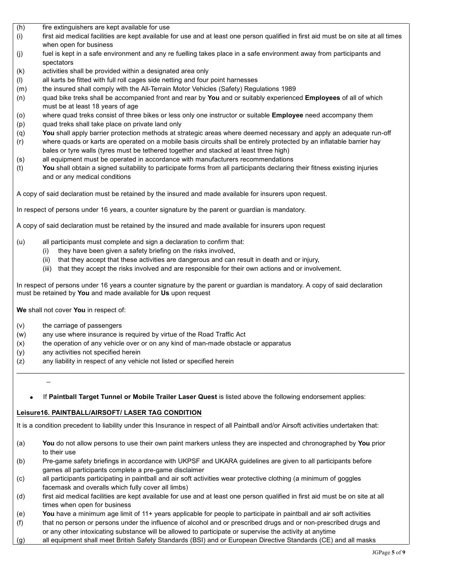- (h) fire extinguishers are kept available for use
- (i) first aid medical facilities are kept available for use and at least one person qualified in first aid must be on site at all times when open for business
- (j) fuel is kept in a safe environment and any re fuelling takes place in a safe environment away from participants and spectators
- (k) activities shall be provided within a designated area only
- (l) all karts be fitted with full roll cages side netting and four point harnesses
- (m) the insured shall comply with the All-Terrain Motor Vehicles (Safety) Regulations 1989
- (n) quad bike treks shall be accompanied front and rear by **You** and or suitably experienced **Employees** of all of which must be at least 18 years of age
- (o) where quad treks consist of three bikes or less only one instructor or suitable **Employee** need accompany them
- (p) quad treks shall take place on private land only
- (q) **You** shall apply barrier protection methods at strategic areas where deemed necessary and apply an adequate run-off (r) where quads or karts are operated on a mobile basis circuits shall be entirely protected by an inflatable barrier hay
- bales or tyre walls (tyres must be tethered together and stacked at least three high)
- (s) all equipment must be operated in accordance with manufacturers recommendations
- (t) **You** shall obtain a signed suitability to participate forms from all participants declaring their fitness existing injuries and or any medical conditions

A copy of said declaration must be retained by the insured and made available for insurers upon request.

In respect of persons under 16 years, a counter signature by the parent or guardian is mandatory.

A copy of said declaration must be retained by the insured and made available for insurers upon request

- (u) all participants must complete and sign a declaration to confirm that:
	- (i) they have been given a safety briefing on the risks involved,
	- (ii) that they accept that these activities are dangerous and can result in death and or injury,
	- (iii) that they accept the risks involved and are responsible for their own actions and or involvement.

In respect of persons under 16 years a counter signature by the parent or guardian is mandatory. A copy of said declaration must be retained by **You** and made available for **Us** upon request

**We** shall not cover **You** in respect of:

- (v) the carriage of passengers
- (w) any use where insurance is required by virtue of the Road Traffic Act
- (x) the operation of any vehicle over or on any kind of man-made obstacle or apparatus
- (y) any activities not specified herein
- (z) any liability in respect of any vehicle not listed or specified herein

 $\overline{\phantom{0}}$ 

If **Paintball Target Tunnel or Mobile Trailer Laser Quest** is listed above the following endorsement applies:

 $\_$  , and the set of the set of the set of the set of the set of the set of the set of the set of the set of the set of the set of the set of the set of the set of the set of the set of the set of the set of the set of th

# **Leisure16. PAINTBALL/AIRSOFT/ LASER TAG CONDITION**

It is a condition precedent to liability under this Insurance in respect of all Paintball and/or Airsoft activities undertaken that:

- (a) **You** do not allow persons to use their own paint markers unless they are inspected and chronographed by **You** prior to their use
- (b) Pre-game safety briefings in accordance with UKPSF and UKARA guidelines are given to all participants before games all participants complete a pre-game disclaimer
- (c) all participants participating in paintball and air soft activities wear protective clothing (a minimum of goggles facemask and overalls which fully cover all limbs)
- (d) first aid medical facilities are kept available for use and at least one person qualified in first aid must be on site at all times when open for business
- (e) **You** have a minimum age limit of 11+ years applicable for people to participate in paintball and air soft activities
- (f) that no person or persons under the influence of alcohol and or prescribed drugs and or non-prescribed drugs and or any other intoxicating substance will be allowed to participate or supervise the activity at anytime
- (g) all equipment shall meet British Safety Standards (BSI) and or European Directive Standards (CE) and all masks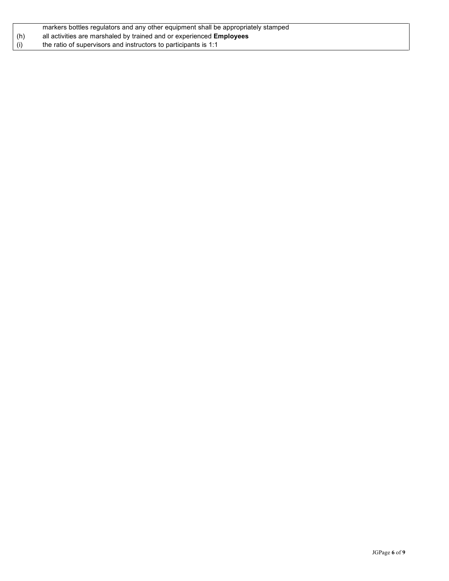|     | markers bottles regulators and any other equipment shall be appropriately stamped |
|-----|-----------------------------------------------------------------------------------|
| (h) | all activities are marshaled by trained and or experienced <b>Employees</b>       |
| (i) | the ratio of supervisors and instructors to participants is 1:1                   |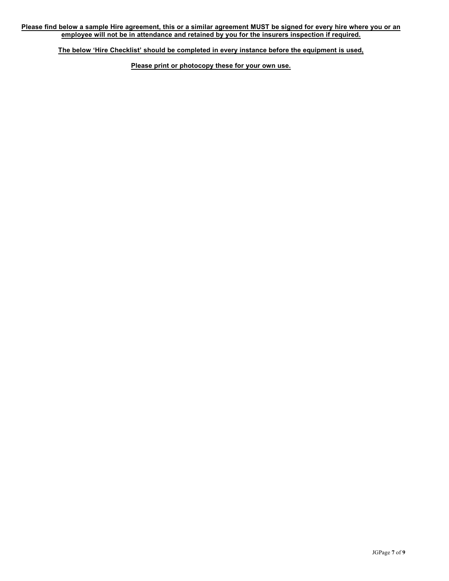**The below 'Hire Checklist' should be completed in every instance before the equipment is used,**

**Please print or photocopy these for your own use.**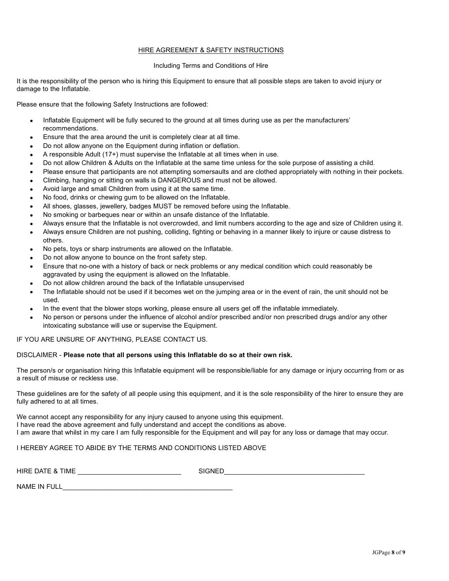### HIRE AGREEMENT & SAFETY INSTRUCTIONS

### Including Terms and Conditions of Hire

It is the responsibility of the person who is hiring this Equipment to ensure that all possible steps are taken to avoid injury or damage to the Inflatable.

Please ensure that the following Safety Instructions are followed:

- Inflatable Equipment will be fully secured to the ground at all times during use as per the manufacturers' recommendations.
- Ensure that the area around the unit is completely clear at all time.
- Do not allow anyone on the Equipment during inflation or deflation.
- A responsible Adult (17+) must supervise the Inflatable at all times when in use.
- Do not allow Children & Adults on the Inflatable at the same time unless for the sole purpose of assisting a child.
- Please ensure that participants are not attempting somersaults and are clothed appropriately with nothing in their pockets.
- Climbing, hanging or sitting on walls is DANGEROUS and must not be allowed.
- Avoid large and small Children from using it at the same time.
- No food, drinks or chewing gum to be allowed on the Inflatable.
- All shoes, glasses, jewellery, badges MUST be removed before using the Inflatable.
- No smoking or barbeques near or within an unsafe distance of the Inflatable.
- Always ensure that the Inflatable is not overcrowded, and limit numbers according to the age and size of Children using it.
- Always ensure Children are not pushing, colliding, fighting or behaving in a manner likely to injure or cause distress to others.
- No pets, toys or sharp instruments are allowed on the Inflatable.
- Do not allow anyone to bounce on the front safety step.
- Ensure that no-one with a history of back or neck problems or any medical condition which could reasonably be aggravated by using the equipment is allowed on the Inflatable.
- Do not allow children around the back of the Inflatable unsupervised
- The Inflatable should not be used if it becomes wet on the jumping area or in the event of rain, the unit should not be used.
- In the event that the blower stops working, please ensure all users get off the inflatable immediately.
- No person or persons under the influence of alcohol and/or prescribed and/or non prescribed drugs and/or any other intoxicating substance will use or supervise the Equipment.

IF YOU ARE UNSURE OF ANYTHING, PLEASE CONTACT US.

### DISCLAIMER - **Please note that all persons using this Inflatable do so at their own risk.**

The person/s or organisation hiring this Inflatable equipment will be responsible/liable for any damage or injury occurring from or as a result of misuse or reckless use.

These guidelines are for the safety of all people using this equipment, and it is the sole responsibility of the hirer to ensure they are fully adhered to at all times.

We cannot accept any responsibility for any injury caused to anyone using this equipment. I have read the above agreement and fully understand and accept the conditions as above. I am aware that whilst in my care I am fully responsible for the Equipment and will pay for any loss or damage that may occur.

# I HEREBY AGREE TO ABIDE BY THE TERMS AND CONDITIONS LISTED ABOVE

HIRE DATE & TIME \_\_\_\_\_\_\_\_\_\_\_\_\_\_\_\_\_\_\_\_\_\_\_\_\_\_\_\_ SIGNED\_\_\_\_\_\_\_\_\_\_\_\_\_\_\_\_\_\_\_\_\_\_\_\_\_\_\_\_\_\_\_\_\_\_\_\_\_\_

NAME IN FULL